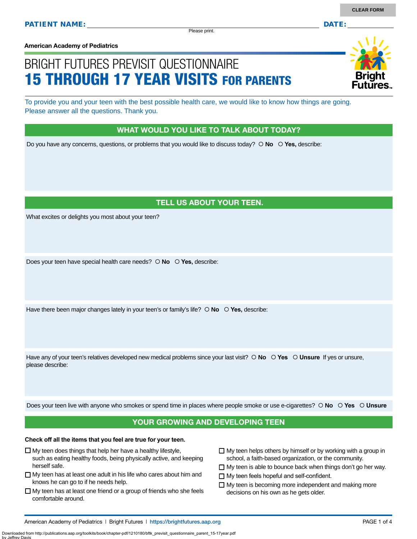Please print.

**American Academy of Pediatrics**

# BRIGHT FUTURES PREVISIT QUESTIONNAIRE 15 THROUGH 17 YEAR VISITS FOR PARENTS

To provide you and your teen with the best possible health care, we would like to know how things are going. Please answer all the questions. Thank you.

### WHAT WOULD YOU LIKE TO TALK ABOUT TODAY?

Do you have any concerns, questions, or problems that you would like to discuss today?  **No Yes,** describe:

## TELL US ABOUT YOUR TEEN.

What excites or delights you most about your teen?

Does your teen have special health care needs?  **No Yes,** describe:

Have there been major changes lately in your teen's or family's life?  $\circ$  **No**  $\circ$  **Yes**, describe:

Have any of your teen's relatives developed new medical problems since your last visit?  $\circ$  **No**  $\circ$  **Yes**  $\circ$  **Unsure** If yes or unsure, please describe:

Does your teen live with anyone who smokes or spend time in places where people smoke or use e-cigarettes?  **No Yes Unsure**

### YOUR GROWING AND DEVELOPING TEEN

#### **Check off all the items that you feel are true for your teen.**

- $\Box$  My teen does things that help her have a healthy lifestyle,
- such as eating healthy foods, being physically active, and keeping herself safe.
- $\Box$  My teen has at least one adult in his life who cares about him and knows he can go to if he needs help.
- $\Box$  My teen has at least one friend or a group of friends who she feels comfortable around.
- $\Box$  My teen helps others by himself or by working with a group in school, a faith-based organization, or the community.
- $\Box$  My teen is able to bounce back when things don't go her way.
- □ My teen feels hopeful and self-confident.
- $\Box$  My teen is becoming more independent and making more decisions on his own as he gets older.

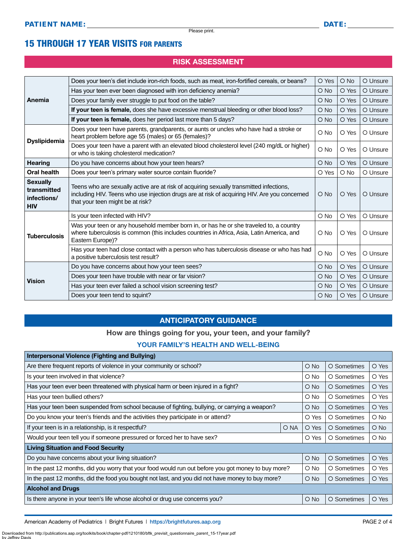# 15 THROUGH 17 YEAR VISITS FOR PARENTS

## RISK ASSESSMENT

| Anemia                                                      | Does your teen's diet include iron-rich foods, such as meat, iron-fortified cereals, or beans?                                                                                                                              | O Yes         | O No   | O Unsure |
|-------------------------------------------------------------|-----------------------------------------------------------------------------------------------------------------------------------------------------------------------------------------------------------------------------|---------------|--------|----------|
|                                                             | Has your teen ever been diagnosed with iron deficiency anemia?                                                                                                                                                              | O No          | O Yes  | O Unsure |
|                                                             | Does your family ever struggle to put food on the table?                                                                                                                                                                    | O No          | O Yes  | O Unsure |
|                                                             | If your teen is female, does she have excessive menstrual bleeding or other blood loss?                                                                                                                                     | O No          | O Yes  | O Unsure |
|                                                             | If your teen is female, does her period last more than 5 days?                                                                                                                                                              | O No          | O Yes  | O Unsure |
|                                                             | Does your teen have parents, grandparents, or aunts or uncles who have had a stroke or<br>heart problem before age 55 (males) or 65 (females)?                                                                              | $\circ$ No    | O Yes  | O Unsure |
| <b>Dyslipidemia</b>                                         | Does your teen have a parent with an elevated blood cholesterol level (240 mg/dL or higher)<br>or who is taking cholesterol medication?                                                                                     | O No          | O Yes  | O Unsure |
| <b>Hearing</b>                                              | Do you have concerns about how your teen hears?                                                                                                                                                                             | O No          | O Yes  | O Unsure |
| Oral health                                                 | Does your teen's primary water source contain fluoride?                                                                                                                                                                     | O Yes         | $O$ No | O Unsure |
| <b>Sexually</b><br>transmitted<br>infections/<br><b>HIV</b> | Teens who are sexually active are at risk of acquiring sexually transmitted infections,<br>including HIV. Teens who use injection drugs are at risk of acquiring HIV. Are you concerned<br>that your teen might be at risk? | $O$ No        | O Yes  | O Unsure |
|                                                             | Is your teen infected with HIV?                                                                                                                                                                                             | O No          | O Yes  | O Unsure |
| <b>Tuberculosis</b>                                         | Was your teen or any household member born in, or has he or she traveled to, a country<br>where tuberculosis is common (this includes countries in Africa, Asia, Latin America, and<br>Eastern Europe)?                     | O No          | O Yes  | O Unsure |
|                                                             | Has your teen had close contact with a person who has tuberculosis disease or who has had<br>a positive tuberculosis test result?                                                                                           | O No          | O Yes  | O Unsure |
|                                                             | Do you have concerns about how your teen sees?                                                                                                                                                                              | O No          | O Yes  | O Unsure |
| <b>Vision</b>                                               | Does your teen have trouble with near or far vision?                                                                                                                                                                        | $\bigcirc$ No | O Yes  | O Unsure |
|                                                             | Has your teen ever failed a school vision screening test?                                                                                                                                                                   | $\bigcirc$ No | O Yes  | O Unsure |
|                                                             | Does your teen tend to squint?                                                                                                                                                                                              | $\bigcirc$ No | O Yes  | O Unsure |

### ANTICIPATORY GUIDANCE

#### How are things going for you, your teen, and your family?

#### YOUR FAMILY'S HEALTH AND WELL-BEING

| <b>Interpersonal Violence (Fighting and Bullying)</b>                                               |      |               |             |               |
|-----------------------------------------------------------------------------------------------------|------|---------------|-------------|---------------|
| Are there frequent reports of violence in your community or school?                                 |      | $O$ No        | O Sometimes | O Yes         |
| Is your teen involved in that violence?                                                             |      | $\bigcirc$ No | O Sometimes | O Yes         |
| Has your teen ever been threatened with physical harm or been injured in a fight?                   |      | $\circ$ No    | O Sometimes | O Yes         |
| Has your teen bullied others?                                                                       |      | O No          | O Sometimes | O Yes         |
| Has your teen been suspended from school because of fighting, bullying, or carrying a weapon?       |      | $O$ No        | O Sometimes | O Yes         |
| Do you know your teen's friends and the activities they participate in or attend?                   |      | O Yes         | O Sometimes | $\circ$ No    |
| If your teen is in a relationship, is it respectful?                                                | O NA | O Yes         | O Sometimes | $\bigcirc$ No |
| Would your teen tell you if someone pressured or forced her to have sex?                            |      | O Yes         | O Sometimes | $\circ$ No    |
| <b>Living Situation and Food Security</b>                                                           |      |               |             |               |
| Do you have concerns about your living situation?                                                   |      | O No          | O Sometimes | O Yes         |
| In the past 12 months, did you worry that your food would run out before you got money to buy more? |      | O No          | O Sometimes | O Yes         |
| In the past 12 months, did the food you bought not last, and you did not have money to buy more?    |      | $O$ No        | O Sometimes | O Yes         |
| <b>Alcohol and Drugs</b>                                                                            |      |               |             |               |
| Is there anyone in your teen's life whose alcohol or drug use concerns you?                         |      | $O$ No        | O Sometimes | O Yes         |

American Academy of Pediatrics | Bright Futures | https:/[/brightfutures.aap.org](https://brightfutures.aap.org/Pages/default.aspx) | Namerican Academy of PAGE 2 of 4

Downloaded from http://publications.aap.org/toolkits/book/chapter-pdf/1210180/bftk\_previsit\_questionnaire\_parent\_15-17year.pdf by Jeffrey I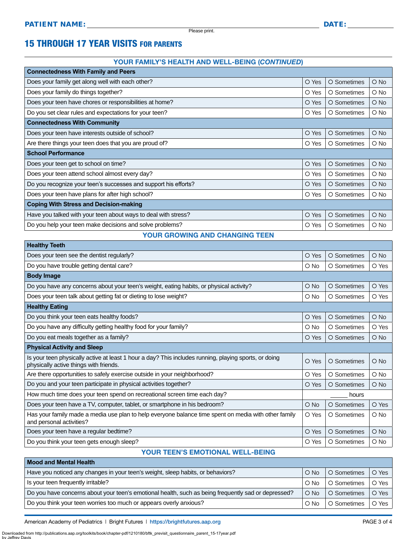**Healthy Teeth**

# 15 THROUGH 17 YEAR VISITS FOR PARENTS

#### YOUR FAMILY'S HEALTH AND WELL-BEING (*CONTINUED*)

| <b>Connectedness With Family and Peers</b>                      |       |             |               |  |  |
|-----------------------------------------------------------------|-------|-------------|---------------|--|--|
| Does your family get along well with each other?                | O Yes | O Sometimes | $\bigcirc$ No |  |  |
| Does your family do things together?                            | O Yes | O Sometimes | $O$ No        |  |  |
| Does your teen have chores or responsibilities at home?         | O Yes | O Sometimes | $\bigcirc$ No |  |  |
| Do you set clear rules and expectations for your teen?          | O Yes | O Sometimes | O No          |  |  |
| <b>Connectedness With Community</b>                             |       |             |               |  |  |
| Does your teen have interests outside of school?                | O Yes | O Sometimes | $\bigcirc$ No |  |  |
| Are there things your teen does that you are proud of?          | O Yes | O Sometimes | $\bigcirc$ No |  |  |
| <b>School Performance</b>                                       |       |             |               |  |  |
| Does your teen get to school on time?                           | O Yes | O Sometimes | O No          |  |  |
| Does your teen attend school almost every day?                  | O Yes | O Sometimes | O No          |  |  |
| Do you recognize your teen's successes and support his efforts? | O Yes | O Sometimes | $\bigcirc$ No |  |  |
| Does your teen have plans for after high school?                | O Yes | O Sometimes | $\circ$ No    |  |  |
| <b>Coping With Stress and Decision-making</b>                   |       |             |               |  |  |
| Have you talked with your teen about ways to deal with stress?  | O Yes | O Sometimes | $O$ No        |  |  |
| Do you help your teen make decisions and solve problems?        | O Yes | O Sometimes | $\circ$ No    |  |  |

#### YOUR GROWING AND CHANGING TEEN

| <b>Health</b> reefi                                                                                                                             |               |             |               |
|-------------------------------------------------------------------------------------------------------------------------------------------------|---------------|-------------|---------------|
| Does your teen see the dentist regularly?                                                                                                       | O Yes         | O Sometimes | $O$ No        |
| Do you have trouble getting dental care?                                                                                                        | O No          | O Sometimes | O Yes         |
| <b>Body Image</b>                                                                                                                               |               |             |               |
| Do you have any concerns about your teen's weight, eating habits, or physical activity?                                                         | $\bigcirc$ No | O Sometimes | O Yes         |
| Does your teen talk about getting fat or dieting to lose weight?                                                                                | O No          | O Sometimes | O Yes         |
| <b>Healthy Eating</b>                                                                                                                           |               |             |               |
| Do you think your teen eats healthy foods?                                                                                                      | O Yes         | O Sometimes | $O$ No        |
| Do you have any difficulty getting healthy food for your family?                                                                                | $\circ$ No    | O Sometimes | O Yes         |
| Do you eat meals together as a family?                                                                                                          | O Yes         | O Sometimes | $\bigcirc$ No |
| <b>Physical Activity and Sleep</b>                                                                                                              |               |             |               |
| Is your teen physically active at least 1 hour a day? This includes running, playing sports, or doing<br>physically active things with friends. | O Yes         | O Sometimes | $O$ No        |
| Are there opportunities to safely exercise outside in your neighborhood?                                                                        | O Yes         | O Sometimes | $O$ No        |
| Do you and your teen participate in physical activities together?                                                                               | O Yes         | O Sometimes | $O$ No        |
| How much time does your teen spend on recreational screen time each day?                                                                        | hours         |             |               |
| Does your teen have a TV, computer, tablet, or smartphone in his bedroom?                                                                       | $\bigcirc$ No | O Sometimes | O Yes         |
| Has your family made a media use plan to help everyone balance time spent on media with other family<br>and personal activities?                | O Yes         | O Sometimes | O No          |
| Does your teen have a regular bedtime?                                                                                                          | O Yes         | O Sometimes | $O$ No        |
| Do you think your teen gets enough sleep?                                                                                                       | O Yes         | O Sometimes | O No          |
|                                                                                                                                                 |               |             |               |

### YOUR TEEN'S EMOTIONAL WELL-BEING

| <b>Mood and Mental Health</b>                                                                       |               |             |       |  |
|-----------------------------------------------------------------------------------------------------|---------------|-------------|-------|--|
| Have you noticed any changes in your teen's weight, sleep habits, or behaviors?                     | $\bigcirc$ No | O Sometimes | O Yes |  |
| Is your teen frequently irritable?                                                                  | $\bigcirc$ No | O Sometimes | O Yes |  |
| Do you have concerns about your teen's emotional health, such as being frequently sad or depressed? | $O$ No        | O Sometimes | O Yes |  |
| Do you think your teen worries too much or appears overly anxious?                                  | $\bigcirc$ No | O Sometimes | O Yes |  |

American Academy of Pediatrics | Bright Futures | https:/[/brightfutures.aap.org](https://brightfutures.aap.org/Pages/default.aspx) PAGE 3 of 4